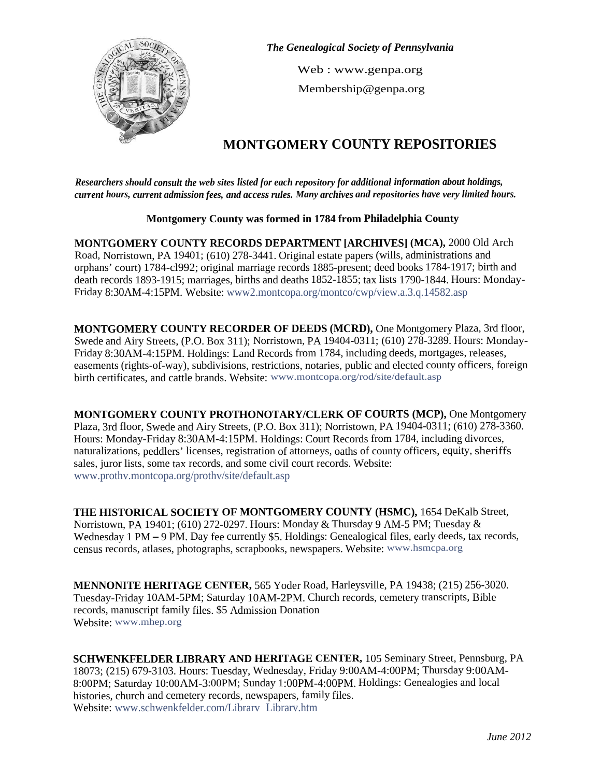

*The Genealogical Society of Pennsylvania*

Web : www.genpa.org Membership@genpa.org

# **MONTGOMERY COUNTY REPOSITORIES**

*Researchers should consult the web sites listed for each repository for additional information about holdings, current hours, current admission fees, and access rules. Many archives and repositories have very limited hours.*

# **Montgomery County was formed in 1784 from Philadelphia County**

**MONTGOMERY COUNTY RECORDS DEPARTMENT [ARCHIVES] (MCA),** 2000 Old Arch Road, Norristown, PA 19401; (610) 278-3441. Original estate papers (wills, administrations and orphans' court) 1784-cl992; original marriage records 1885-present; deed books 1784-1917; birth and death records 1893-1915; marriages, births and deaths 1852-1855; tax lists 1790-1844. Hours: Monday-Friday 8:30AM-4:15PM. Website: www2.montcopa.org/montco/cwp/view.a.3.q.14582.asp

**MONTGOMERY COUNTY RECORDER OF DEEDS (MCRD),** One Montgomery Plaza, 3rd floor, Swede and Airy Streets, (P.O. Box 311); Norristown, PA 19404-0311; (610) 278-3289. Hours: Monday-Friday 8:30AM-4:15PM. Holdings: Land Records from 1784, including deeds, mortgages, releases, easements (rights-of-way), subdivisions, restrictions, notaries, public and elected county officers, foreign birth certificates, and cattle brands. Website: www.montcopa.org/rod/site/default.asp

**MONTGOMERY COUNTY PROTHONOTARY/CLERK OF COURTS (MCP),** One Montgomery Plaza, 3rd floor, Swede and Airy Streets, (P.O. Box 311); Norristown, PA 19404-0311; (610) 278-3360. Hours: Monday-Friday 8:30AM-4:15PM. Holdings: Court Records from 1784, including divorces, naturalizations, peddlers' licenses, registration of attorneys, oaths of county officers, equity, sheriffs sales, juror lists, some tax records, and some civil court records. Website: www.prothv.montcopa.org/prothv/site/default.asp

**THE HISTORICAL SOCIETY OF MONTGOMERY COUNTY (HSMC),** 1654 DeKalb Street, Norristown, PA 19401; (610) 272-0297. Hours: Monday & Thursday 9 AM-5 PM; Tuesday & Wednesday 1 PM – 9 PM. Day fee currently \$5. Holdings: Genealogical files, early deeds, tax records, census records, atlases, photographs, scrapbooks, newspapers. Website: www.hsmcpa.org

**MENNONITE HERITAGE CENTER,** 565 Yoder Road, Harleysville, PA 19438; (215) 256-3020. Tuesday-Friday 10AM-5PM; Saturday 10AM-2PM. Church records, cemetery transcripts, Bible records, manuscript family files. \$5 Admission Donation Website: www.mhep.org

**SCHWENKFELDER LIBRARY AND HERITAGE CENTER,** 105 Seminary Street, Pennsburg, PA 18073; (215) 679-3103. Hours: Tuesday, Wednesday, Friday 9:00AM-4:00PM; Thursday 9:00AM-8:00PM; Saturday 10:00AM-3:00PM; Sunday 1:00PM-4:00PM. Holdings: Genealogies and local histories, church and cemetery records, newspapers, family files. Website: www.schwenkfelder.com/Librarv Librarv.htm